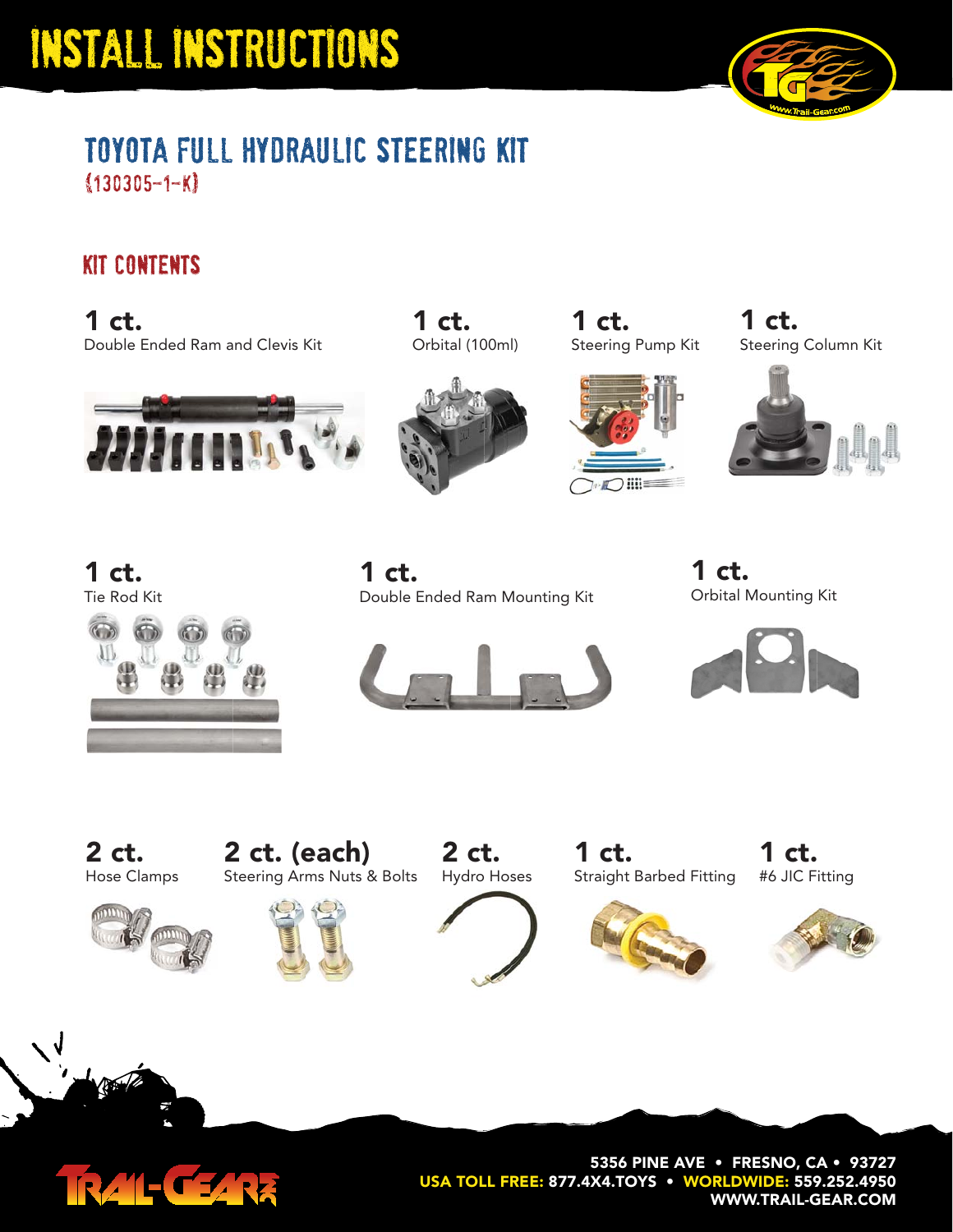

#### toyota full hydraulic steering kit (130305-1-k)

#### kit contents

**1 ct.** Double Ended Ram and Clevis Kit **Steering Pump Kit Conservation** Crbital (100ml) Steering Pump Kit



Orbital (100ml) **1 ct.**



**1 ct.**



Steering Column Kit **1 ct.**



**1 ct.**



Double Ended Ram Mounting Kit **1 ct.**



Orbital Mounting Kit **1 ct.**



Hose Clamps **2 ct.**





Hydro Hoses **2 ct.**



**1 ct.**

#6 JIC Fitting **1 ct.**





**5356 PINE AVE • FRESNO, CA • 93727 USA TOLL FREE: 877.4X4.TOYS • WORLDWIDE: 559.252.4950 WWW.TRAIL-GEAR.COM**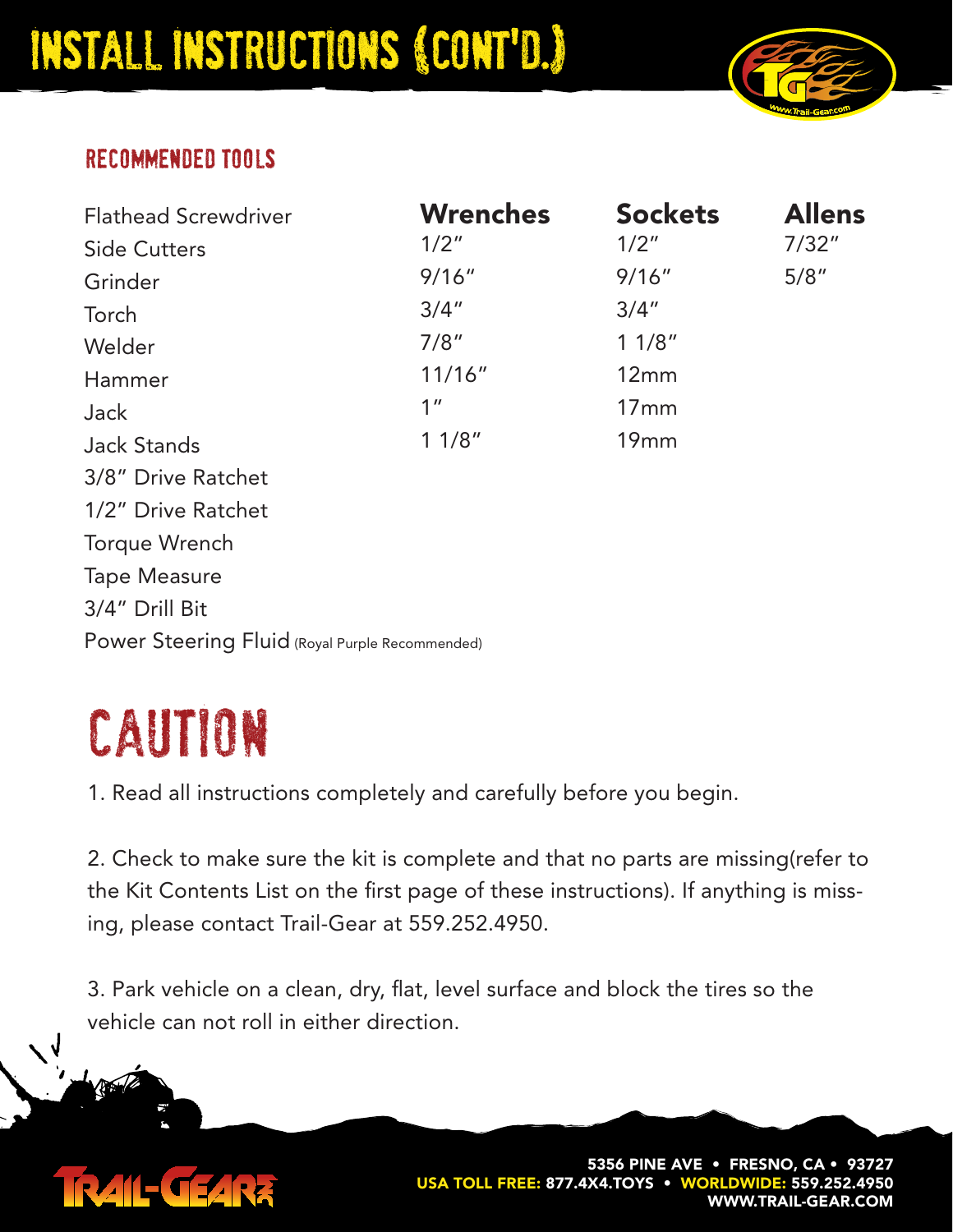

#### recommended tools

| <b>Flathead Screwdriver</b>                     | <b>Wrenches</b><br>1/2" | <b>Sockets</b><br>1/2" | <b>Allens</b><br>7/32" |
|-------------------------------------------------|-------------------------|------------------------|------------------------|
| <b>Side Cutters</b>                             |                         |                        |                        |
| Grinder                                         | 9/16''                  | 9/16''                 | 5/8''                  |
| Torch                                           | 3/4''                   | 3/4''                  |                        |
| Welder                                          | 7/8"                    | 11/8"                  |                        |
| Hammer                                          | 11/16"                  | 12mm                   |                        |
| Jack                                            | 1 <sup>''</sup>         | 17mm                   |                        |
| <b>Jack Stands</b>                              | 11/8"                   | 19mm                   |                        |
| 3/8" Drive Ratchet                              |                         |                        |                        |
| 1/2" Drive Ratchet                              |                         |                        |                        |
| Torque Wrench                                   |                         |                        |                        |
| <b>Tape Measure</b>                             |                         |                        |                        |
| 3/4" Drill Bit                                  |                         |                        |                        |
| Power Steering Fluid (Royal Purple Recommended) |                         |                        |                        |

# caution

1. Read all instructions completely and carefully before you begin.

2. Check to make sure the kit is complete and that no parts are missing(refer to the Kit Contents List on the first page of these instructions). If anything is missing, please contact Trail-Gear at 559.252.4950.

3. Park vehicle on a clean, dry, flat, level surface and block the tires so the vehicle can not roll in either direction.

### IRAIL-CEARR

**5356 PINE AVE • FRESNO, CA • 93727 USA TOLL FREE: 877.4X4.TOYS • WORLDWIDE: 559.252.4950 WWW.TRAIL-GEAR.COM**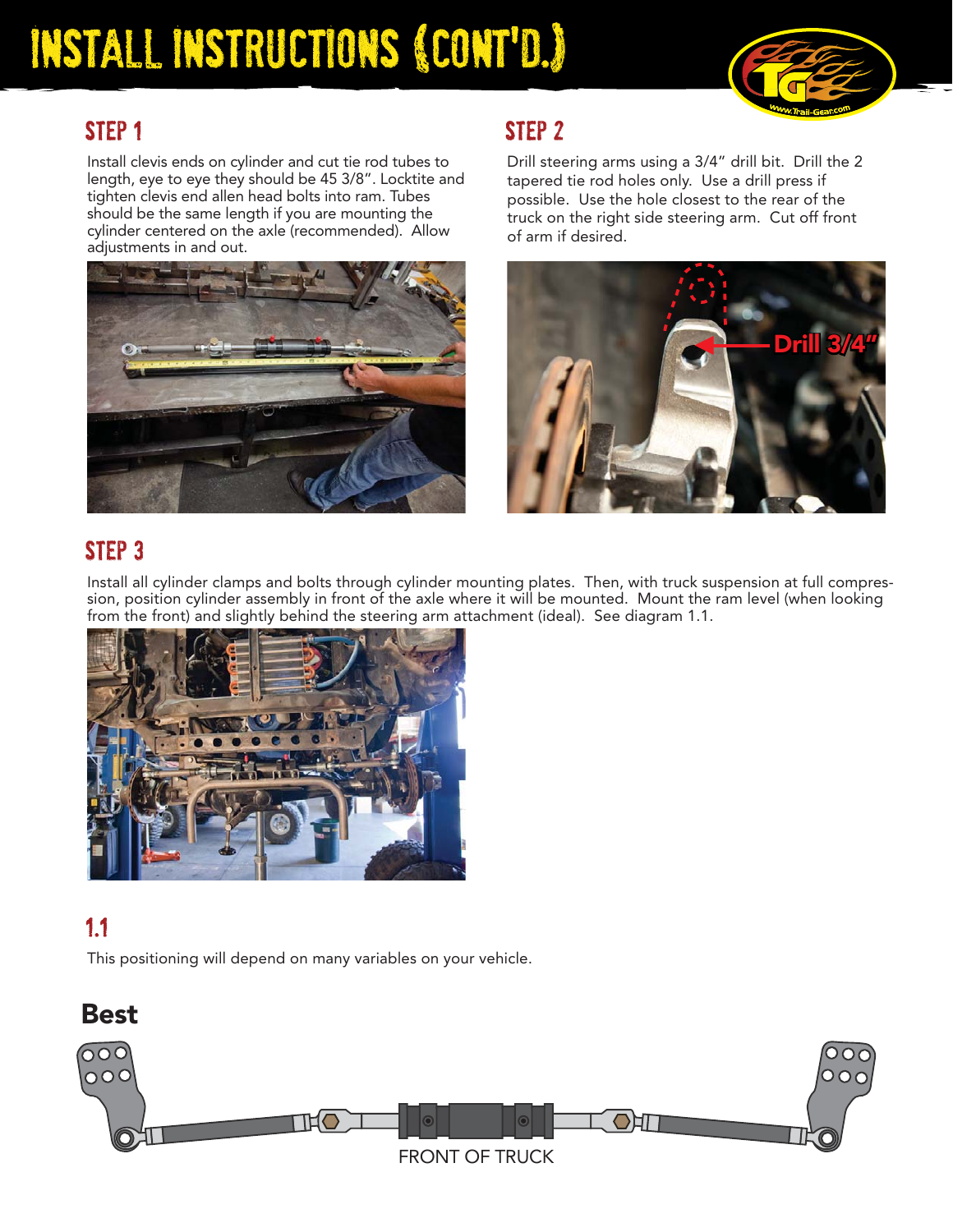

#### STEP<sub>1</sub>

Install clevis ends on cylinder and cut tie rod tubes to length, eye to eye they should be 45 3/8". Locktite and tighten clevis end allen head bolts into ram. Tubes should be the same length if you are mounting the cylinder centered on the axle (recommended). Allow adjustments in and out.



#### step 2

Drill steering arms using a 3/4" drill bit. Drill the 2 tapered tie rod holes only. Use a drill press if possible. Use the hole closest to the rear of the truck on the right side steering arm. Cut off front of arm if desired.



#### STEP<sub>3</sub>

Install all cylinder clamps and bolts through cylinder mounting plates. Then, with truck suspension at full compression, position cylinder assembly in front of the axle where it will be mounted. Mount the ram level (when looking from the front) and slightly behind the steering arm attachment (ideal). See diagram 1.1.



#### 1.1

This positioning will depend on many variables on your vehicle.

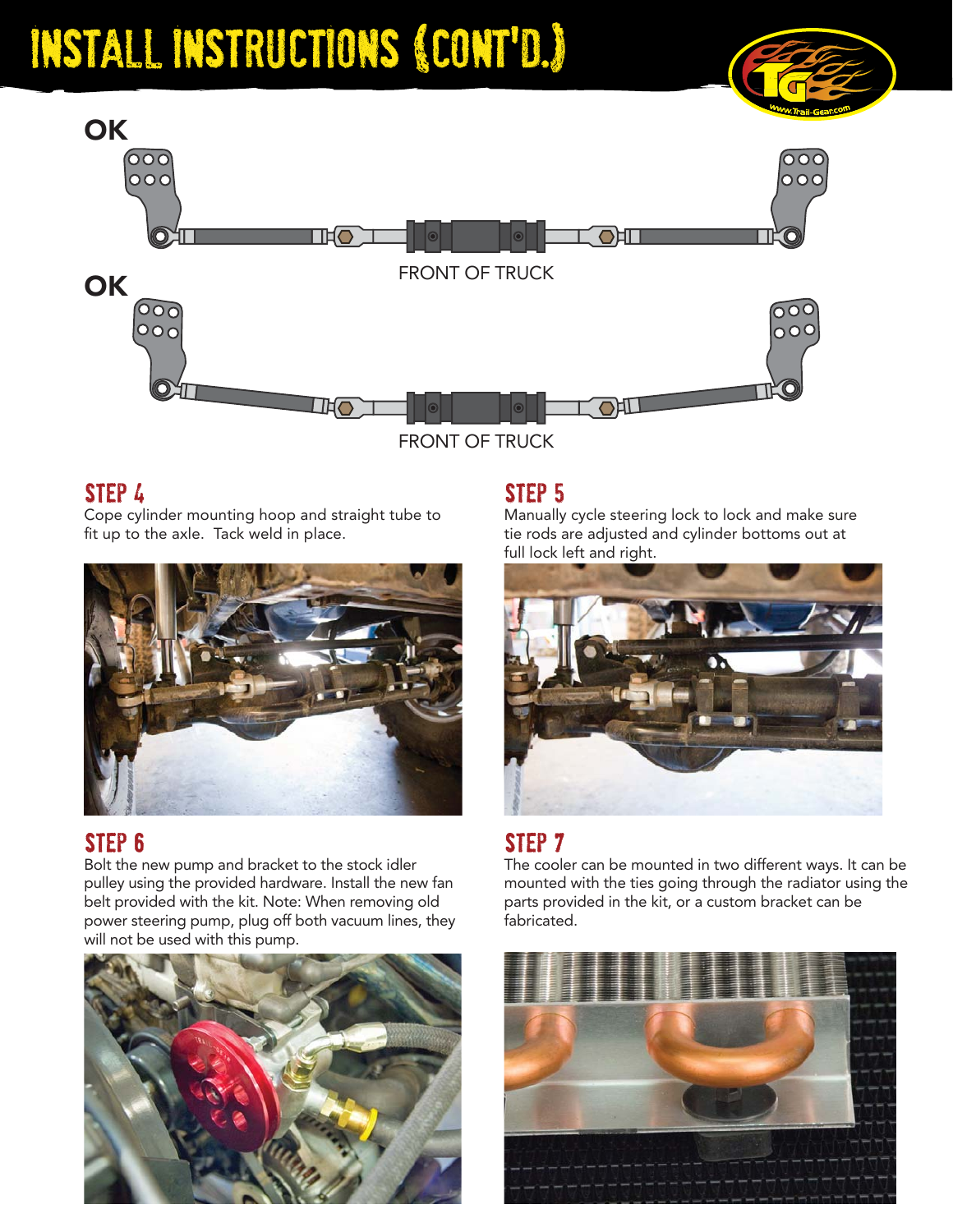

FRONT OF TRUCK

#### step 4

Cope cylinder mounting hoop and straight tube to fit up to the axle. Tack weld in place.



#### step 6

Bolt the new pump and bracket to the stock idler pulley using the provided hardware. Install the new fan belt provided with the kit. Note: When removing old power steering pump, plug off both vacuum lines, they will not be used with this pump.



#### step 5

Manually cycle steering lock to lock and make sure tie rods are adjusted and cylinder bottoms out at full lock left and right.



#### step 7

The cooler can be mounted in two different ways. It can be mounted with the ties going through the radiator using the parts provided in the kit, or a custom bracket can be fabricated.

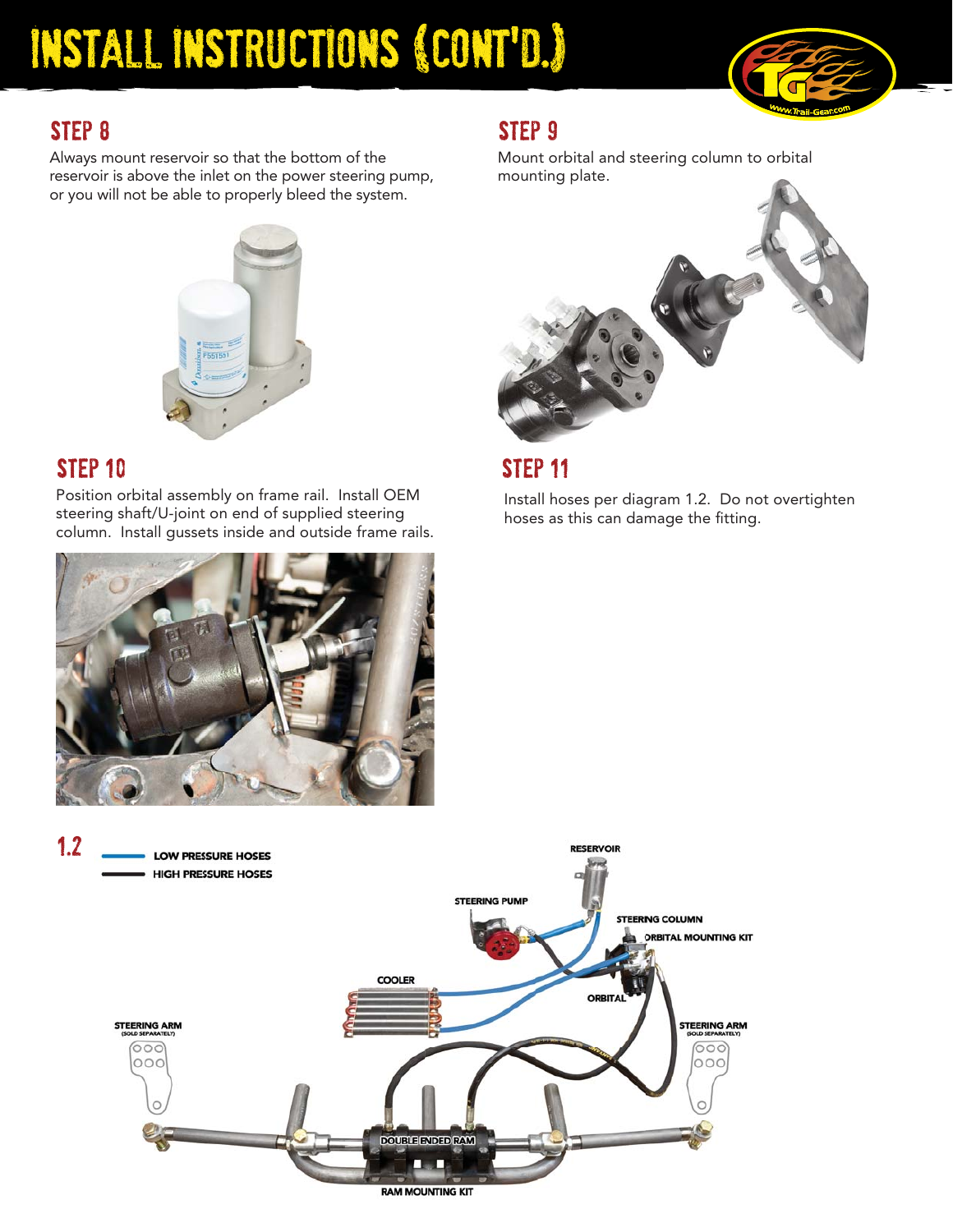

#### step 8

Always mount reservoir so that the bottom of the Mount or<br>reservoir is above the inlet on the power steering pump, mounting or you will not be able to properly bleed the system.



#### STEP 10

1.2

Position orbital assembly on frame rail. Install OEM steering shaft/U-joint on end of supplied steering column. Install gussets inside and outside frame rails.



Mount orbital and steering column to orbital mounting plate.





Install hoses per diagram 1.2. Do not overtighten hoses as this can damage the fitting.





**RAM MOUNTING KIT**